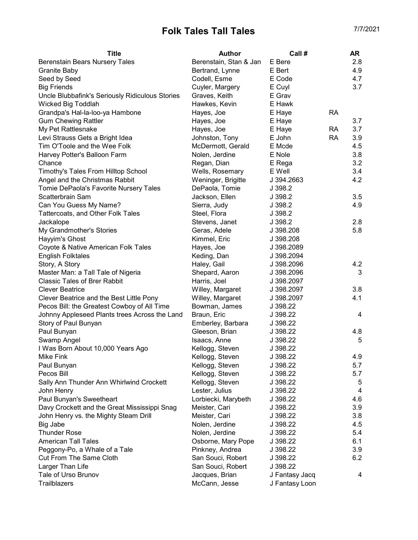## Folk Tales Tall Tales **Tall Tales** 7/7/2021

| <b>Title</b>                                    | Author                 | Call #         |           | <b>AR</b> |
|-------------------------------------------------|------------------------|----------------|-----------|-----------|
| Berenstain Bears Nursery Tales                  | Berenstain, Stan & Jan | E Bere         |           | 2.8       |
| Granite Baby                                    | Bertrand, Lynne        | E Bert         |           | 4.9       |
| Seed by Seed                                    | Codell, Esme           | E Code         |           | 4.7       |
| <b>Big Friends</b>                              | Cuyler, Margery        | E Cuyl         |           | 3.7       |
| Uncle Blubbafink's Seriously Ridiculous Stories | Graves, Keith          | E Grav         |           |           |
| Wicked Big Toddlah                              | Hawkes, Kevin          | E Hawk         |           |           |
| Grandpa's Hal-la-loo-ya Hambone                 | Hayes, Joe             | E Haye         | <b>RA</b> |           |
| <b>Gum Chewing Rattler</b>                      | Hayes, Joe             | E Haye         |           | 3.7       |
| My Pet Rattlesnake                              | Hayes, Joe             | E Haye         | RA        | 3.7       |
| Levi Strauss Gets a Bright Idea                 | Johnston, Tony         | E John         | <b>RA</b> | 3.9       |
| Tim O'Toole and the Wee Folk                    | McDermott, Gerald      | E Mcde         |           | 4.5       |
| Harvey Potter's Balloon Farm                    | Nolen, Jerdine         | E Nole         |           | 3.8       |
| Chance                                          | Regan, Dian            | E Rega         |           | 3.2       |
| Timothy's Tales From Hilltop School             | Wells, Rosemary        | E Well         |           | 3.4       |
| Angel and the Christmas Rabbit                  | Weninger, Brigitte     | J 394.2663     |           | 4.2       |
| Tomie DePaola's Favorite Nursery Tales          | DePaola, Tomie         | J 398.2        |           |           |
| Scatterbrain Sam                                | Jackson, Ellen         | J 398.2        |           | 3.5       |
| Can You Guess My Name?                          | Sierra, Judy           | J 398.2        |           | 4.9       |
| Tattercoats, and Other Folk Tales               | Steel, Flora           | J 398.2        |           |           |
| Jackalope                                       | Stevens, Janet         | J 398.2        |           | 2.8       |
| My Grandmother's Stories                        | Geras, Adele           | J 398.208      |           | 5.8       |
| Hayyim's Ghost                                  | Kimmel, Eric           | J 398.208      |           |           |
| Coyote & Native American Folk Tales             | Hayes, Joe             | J 398.2089     |           |           |
| <b>English Folktales</b>                        | Keding, Dan            | J 398.2094     |           |           |
| Story, A Story                                  | Haley, Gail            | J 398.2096     |           | 4.2       |
| Master Man: a Tall Tale of Nigeria              | Shepard, Aaron         | J 398.2096     |           | 3         |
| <b>Classic Tales of Brer Rabbit</b>             | Harris, Joel           | J 398.2097     |           |           |
| <b>Clever Beatrice</b>                          | Willey, Margaret       | J 398.2097     |           | 3.8       |
| Clever Beatrice and the Best Little Pony        | Willey, Margaret       | J 398.2097     |           | 4.1       |
| Pecos Bill: the Greatest Cowboy of All Time     | Bowman, James          | J 398.22       |           |           |
| Johnny Appleseed Plants trees Across the Land   | Braun, Eric            | J 398.22       |           | 4         |
| Story of Paul Bunyan                            | Emberley, Barbara      | J 398.22       |           |           |
| Paul Bunyan                                     | Gleeson, Brian         | J 398.22       |           | 4.8       |
| Swamp Angel                                     | Isaacs, Anne           | J 398.22       |           | 5         |
| I Was Born About 10,000 Years Ago               | Kellogg, Steven        | J 398.22       |           |           |
| Mike Fink                                       | Kellogg, Steven        | J 398.22       |           | 4.9       |
| Paul Bunyan                                     | Kellogg, Steven        | J 398.22       |           | 5.7       |
| Pecos Bill                                      | Kellogg, Steven        | J 398.22       |           | 5.7       |
| Sally Ann Thunder Ann Whirlwind Crockett        | Kellogg, Steven        | J 398.22       |           | 5         |
| John Henry                                      | Lester, Julius         | J 398.22       |           | 4         |
| Paul Bunyan's Sweetheart                        | Lorbiecki, Marybeth    | J 398.22       |           | 4.6       |
| Davy Crockett and the Great Mississippi Snag    | Meister, Cari          | J 398.22       |           | 3.9       |
| John Henry vs. the Mighty Steam Drill           | Meister, Cari          | J 398.22       |           | 3.8       |
| Big Jabe                                        | Nolen, Jerdine         | J 398.22       |           | 4.5       |
| <b>Thunder Rose</b>                             | Nolen, Jerdine         | J 398.22       |           | 5.4       |
| <b>American Tall Tales</b>                      | Osborne, Mary Pope     | J 398.22       |           | 6.1       |
| Peggony-Po, a Whale of a Tale                   | Pinkney, Andrea        | J 398.22       |           | 3.9       |
| Cut From The Same Cloth                         | San Souci, Robert      | J 398.22       |           | 6.2       |
| Larger Than Life                                | San Souci, Robert      | J 398.22       |           |           |
| Tale of Urso Brunov                             | Jacques, Brian         | J Fantasy Jacq |           | 4         |
| Trailblazers                                    | McCann, Jesse          | J Fantasy Loon |           |           |